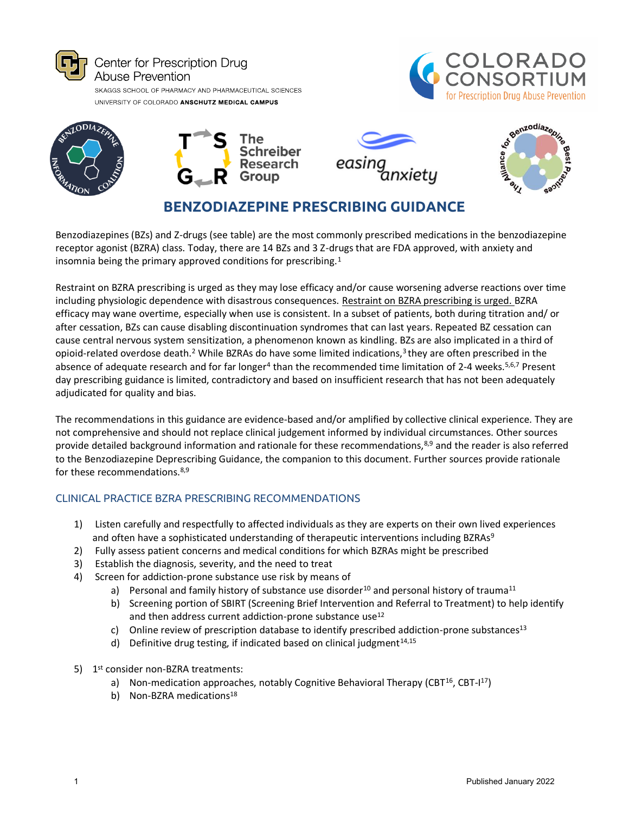





**BENZODIAZEPINE PRESCRIBING GUIDANCE**

Benzodiazepines (BZs) and Z-drugs (see table) are the most commonly prescribed medications in the benzodiazepine receptor agonist (BZRA) class. Today, there are 14 BZs and 3 Z-drugs that are FDA approved, with anxiety and insomnia being the primary approved conditions for prescribing.<sup>1</sup>

Restraint on BZRA prescribing is urged as they may lose efficacy and/or cause worsening adverse reactions over time including physiologic dependence with disastrous consequences. Restraint on BZRA prescribing is urged. BZRA efficacy may wane overtime, especially when use is consistent. In a subset of patients, both during titration and/ or after cessation, BZs can cause disabling discontinuation syndromes that can last years. Repeated BZ cessation can cause central nervous system sensitization, a phenomenon known as kindling. BZs are also implicated in a third of opioid-related overdose death.<sup>2</sup> While BZRAs do have some limited indications,<sup>3</sup>they are often prescribed in the absence of adequate research and for far longer<sup>4</sup> than the recommended time limitation of 2-4 weeks.<sup>5,6,7</sup> Present day prescribing guidance is limited, contradictory and based on insufficient research that has not been adequately adjudicated for quality and bias.

The recommendations in this guidance are evidence-based and/or amplified by collective clinical experience. They are not comprehensive and should not replace clinical judgement informed by individual circumstances. Other sources provide detailed background information and rationale for these recommendations,<sup>8,9</sup> and the reader is also referred to the Benzodiazepine Deprescribing Guidance, the companion to this document. Further sources provide rationale for these recommendations.8,9

## CLINICAL PRACTICE BZRA PRESCRIBING RECOMMENDATIONS

- 1) Listen carefully and respectfully to affected individuals as they are experts on their own lived experiences and often have a sophisticated understanding of therapeutic interventions including BZRAs<sup>9</sup>
- 2) Fully assess patient concerns and medical conditions for which BZRAs might be prescribed
- 3) Establish the diagnosis, severity, and the need to treat
- 4) Screen for addiction-prone substance use risk by means of
	- a) Personal and family history of substance use disorder<sup>10</sup> and personal history of trauma<sup>11</sup>
	- b) Screening portion of SBIRT (Screening Brief Intervention and Referral to Treatment) to help identify and then address current addiction-prone substance use<sup>12</sup>
	- c) Online review of prescription database to identify prescribed addiction-prone substances<sup>13</sup>
	- d) Definitive drug testing, if indicated based on clinical judgment $14,15$
- 5) 1<sup>st</sup> consider non-BZRA treatments:
	- a) Non-medication approaches, notably Cognitive Behavioral Therapy (CBT<sup>16</sup>, CBT-I<sup>17</sup>)
	- b) Non-BZRA medications<sup>18</sup>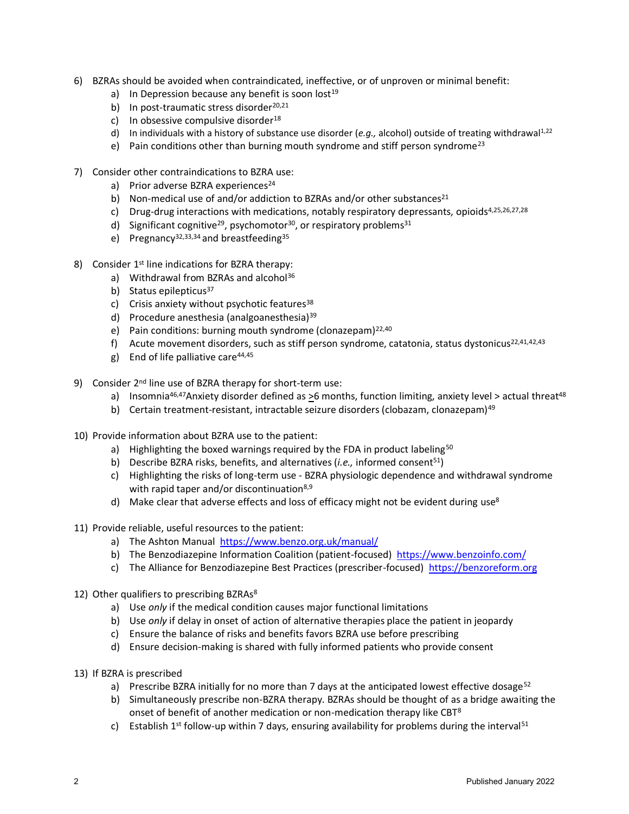- 6) BZRAs should be avoided when contraindicated, ineffective, or of unproven or minimal benefit:
	- a) In Depression because any benefit is soon lost<sup>19</sup>
	- b) In post-traumatic stress disorder $20,21$
	- c) In obsessive compulsive disorder $18$
	- d) In individuals with a history of substance use disorder ( $e.q.,$  alcohol) outside of treating withdrawal<sup>1,22</sup>
	- e) Pain conditions other than burning mouth syndrome and stiff person syndrome<sup>23</sup>
- 7) Consider other contraindications to BZRA use:
	- a) Prior adverse BZRA experiences<sup>24</sup>
	- b) Non-medical use of and/or addiction to BZRAs and/or other substances<sup>21</sup>
	- c) Drug-drug interactions with medications, notably respiratory depressants, opioids<sup>4,25,26,27,28</sup>
	- d) Significant cognitive<sup>29</sup>, psychomotor<sup>30</sup>, or respiratory problems<sup>31</sup>
	- e) Pregnancy<sup>32,33,34</sup> and breastfeeding<sup>35</sup>
- 8) Consider 1<sup>st</sup> line indications for BZRA therapy:
	- a) Withdrawal from BZRAs and alcohol<sup>36</sup>
	- b) Status epilepticus<sup>37</sup>
	- c) Crisis anxiety without psychotic features<sup>38</sup>
	- d) Procedure anesthesia (analgoanesthesia)<sup>39</sup>
	- e) Pain conditions: burning mouth syndrome (clonazepam)<sup>22,40</sup>
	- f) Acute movement disorders, such as stiff person syndrome, catatonia, status dystonicus<sup>22,41,42,43</sup>
	- g) End of life palliative care $44,45$
- 9) Consider 2<sup>nd</sup> line use of BZRA therapy for short-term use:
	- a) Insomnia<sup>46,47</sup>Anxiety disorder defined as >6 months, function limiting, anxiety level > actual threat<sup>48</sup>
	- b) Certain treatment-resistant, intractable seizure disorders (clobazam, clonazepam)<sup>49</sup>
- 10) Provide information about BZRA use to the patient:
	- a) Highlighting the boxed warnings required by the FDA in product labeling<sup>50</sup>
	- b) Describe BZRA risks, benefits, and alternatives (*i.e.*, informed consent<sup>51</sup>)
	- c) Highlighting the risks of long-term use BZRA physiologic dependence and withdrawal syndrome with rapid taper and/or discontinuation<sup>8,9</sup>
	- d) Make clear that adverse effects and loss of efficacy might not be evident during use<sup>8</sup>
- 11) Provide reliable, useful resources to the patient:
	- a) The Ashton Manua[l https://www.benzo.org.uk/manual/](https://www.benzo.org.uk/manual/)
	- b[\)](https://www.benzoinfo.com/?gclid=Cj0KCQjwgtWDBhDZARIsADEKwgPMUoONY4K0jmVTRGNXlUeWU4xKr8nrp6TozxCQadLrcHSYU-yCW7oaAj6UEALw_wcB) The Benzodiazepine Information Coalition (patient-focused) <https://www.benzoinfo.com/>
	- c) The Alliance for Benzodiazepine Best Practices (prescriber-focused) [https://benzoreform.org](https://benzoreform.org/)
- 12) Other qualifiers to prescribing BZRAs<sup>8</sup>
	- a) Use *only* if the medical condition causes major functional limitations
	- b) Use *only* if delay in onset of action of alternative therapies place the patient in jeopardy
	- c) Ensure the balance of risks and benefits favors BZRA use before prescribing
	- d) Ensure decision-making is shared with fully informed patients who provide consent
- 13) If BZRA is prescribed
	- a) Prescribe BZRA initially for no more than 7 days at the anticipated lowest effective dosage<sup>52</sup>
	- b) Simultaneously prescribe non-BZRA therapy. BZRAs should be thought of as a bridge awaiting the onset of benefit of another medication or non-medication therapy like CBT<sup>8</sup>
	- c) Establish 1<sup>st</sup> follow-up within 7 days, ensuring availability for problems during the interval<sup>51</sup>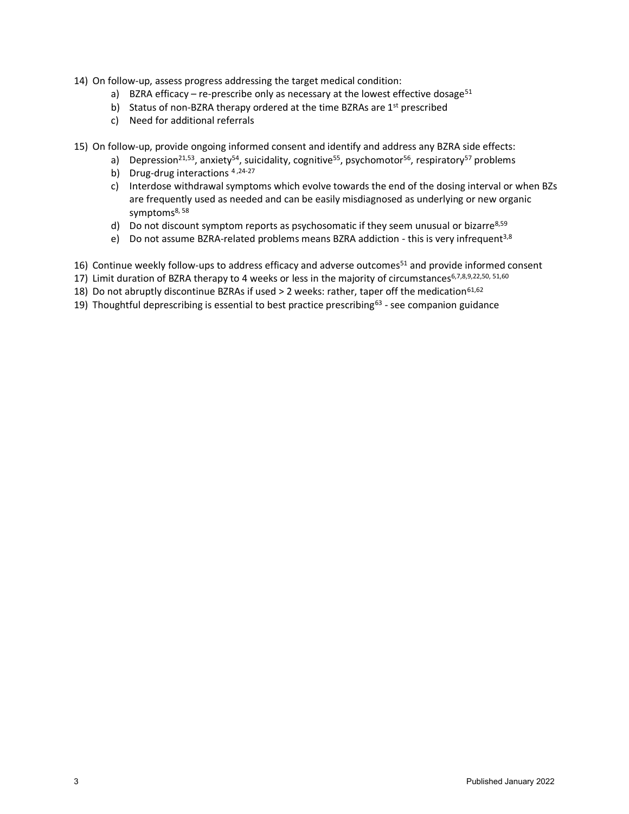- 14) On follow-up, assess progress addressing the target medical condition:
	- a) BZRA efficacy re-prescribe only as necessary at the lowest effective dosage<sup>51</sup>
	- b) Status of non-BZRA therapy ordered at the time BZRAs are 1<sup>st</sup> prescribed
	- c) Need for additional referrals

15) On follow-up, provide ongoing informed consent and identify and address any BZRA side effects:

- a) Depression<sup>21,53</sup>, anxiety<sup>54</sup>, suicidality, cognitive<sup>55</sup>, psychomotor<sup>56</sup>, respiratory<sup>57</sup> problems
- b) Drug-drug interactions  $4,24-27$
- c) Interdose withdrawal symptoms which evolve towards the end of the dosing interval or when BZs are frequently used as needed and can be easily misdiagnosed as underlying or new organic symptoms<sup>8, 58</sup>
- d) Do not discount symptom reports as psychosomatic if they seem unusual or bizarre $8,59$
- e) Do not assume BZRA-related problems means BZRA addiction this is very infrequent<sup>3,8</sup>
- 16) Continue weekly follow-ups to address efficacy and adverse outcomes<sup>51</sup> and provide informed consent
- 17) Limit duration of BZRA therapy to 4 weeks or less in the majority of circumstances<sup>6,7,8,9,22,50, 51,60</sup>
- 18) Do not abruptly discontinue BZRAs if used > 2 weeks: rather, taper off the medication<sup>61,62</sup>
- 19) Thoughtful deprescribing is essential to best practice prescribing<sup>63</sup> see companion guidance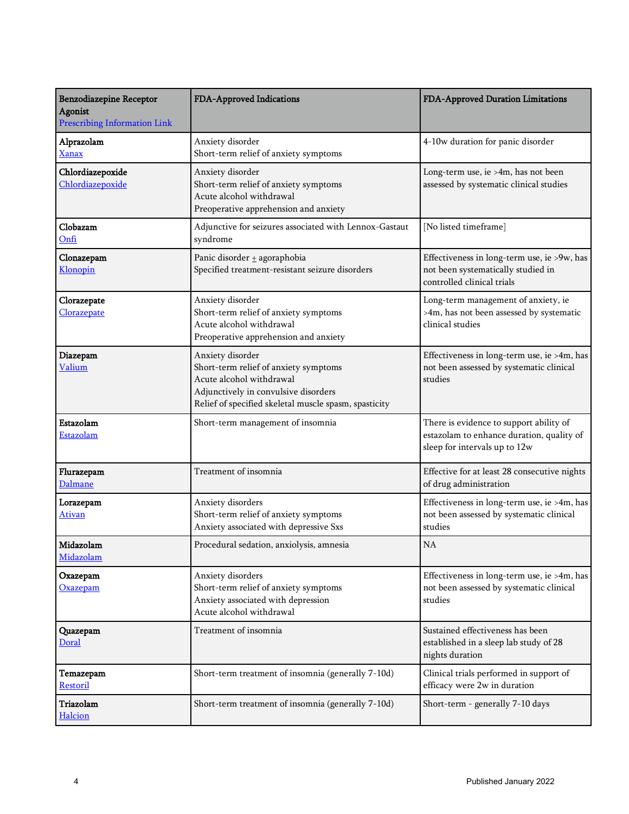| <b>Benzodiazepine Receptor</b><br><b>Agonist</b><br><b>Prescribing Information Link</b> | FDA-Approved Indications                                                                                                                                                               | FDA-Approved Duration Limitations                                                                                     |
|-----------------------------------------------------------------------------------------|----------------------------------------------------------------------------------------------------------------------------------------------------------------------------------------|-----------------------------------------------------------------------------------------------------------------------|
| Alprazolam<br><b>Xanax</b>                                                              | Anxiety disorder<br>Short-term relief of anxiety symptoms                                                                                                                              | 4-10w duration for panic disorder                                                                                     |
| Chlordiazepoxide<br>Chlordiazepoxide                                                    | Anxiety disorder<br>Short-term relief of anxiety symptoms<br>Acute alcohol withdrawal<br>Preoperative apprehension and anxiety                                                         | Long-term use, ie >4m, has not been<br>assessed by systematic clinical studies                                        |
| Clobazam<br>Onfi                                                                        | Adjunctive for seizures associated with Lennox-Gastaut<br>syndrome                                                                                                                     | [No listed timeframe]                                                                                                 |
| Clonazepam<br>Klonopin                                                                  | Panic disorder + agoraphobia<br>Specified treatment-resistant seizure disorders                                                                                                        | Effectiveness in long-term use, ie >9w, has<br>not been systematically studied in<br>controlled clinical trials       |
| Clorazepate<br>Clorazepate                                                              | Anxiety disorder<br>Short-term relief of anxiety symptoms<br>Acute alcohol withdrawal<br>Preoperative apprehension and anxiety                                                         | Long-term management of anxiety, ie<br>>4m, has not been assessed by systematic<br>clinical studies                   |
| Diazepam<br><b>Valium</b>                                                               | Anxiety disorder<br>Short-term relief of anxiety symptoms<br>Acute alcohol withdrawal<br>Adjunctively in convulsive disorders<br>Relief of specified skeletal muscle spasm, spasticity | Effectiveness in long-term use, ie >4m, has<br>not been assessed by systematic clinical<br>studies                    |
| Estazolam<br>Estazolam                                                                  | Short-term management of insomnia                                                                                                                                                      | There is evidence to support ability of<br>estazolam to enhance duration, quality of<br>sleep for intervals up to 12w |
| Flurazepam<br>Dalmane                                                                   | Treatment of insomnia                                                                                                                                                                  | Effective for at least 28 consecutive nights<br>of drug administration                                                |
| Lorazepam<br><u>Ativan</u>                                                              | Anxiety disorders<br>Short-term relief of anxiety symptoms<br>Anxiety associated with depressive Sxs                                                                                   | Effectiveness in long-term use, ie >4m, has<br>not been assessed by systematic clinical<br>studies                    |
| Midazolam<br>Midazolam                                                                  | Procedural sedation, anxiolysis, amnesia                                                                                                                                               | <b>NA</b>                                                                                                             |
| Oxazepam<br><b>Oxazepam</b>                                                             | Anxiety disorders<br>Short-term relief of anxiety symptoms<br>Anxiety associated with depression<br>Acute alcohol withdrawal                                                           | Effectiveness in long-term use, ie >4m, has<br>not been assessed by systematic clinical<br>studies                    |
| Quazepam<br>Doral                                                                       | Treatment of insomnia                                                                                                                                                                  | Sustained effectiveness has been<br>established in a sleep lab study of 28<br>nights duration                         |
| Temazepam<br>Restoril                                                                   | Short-term treatment of insomnia (generally 7-10d)                                                                                                                                     | Clinical trials performed in support of<br>efficacy were 2w in duration                                               |
| Triazolam<br>Halcion                                                                    | Short-term treatment of insomnia (generally 7-10d)                                                                                                                                     | Short-term - generally 7-10 days                                                                                      |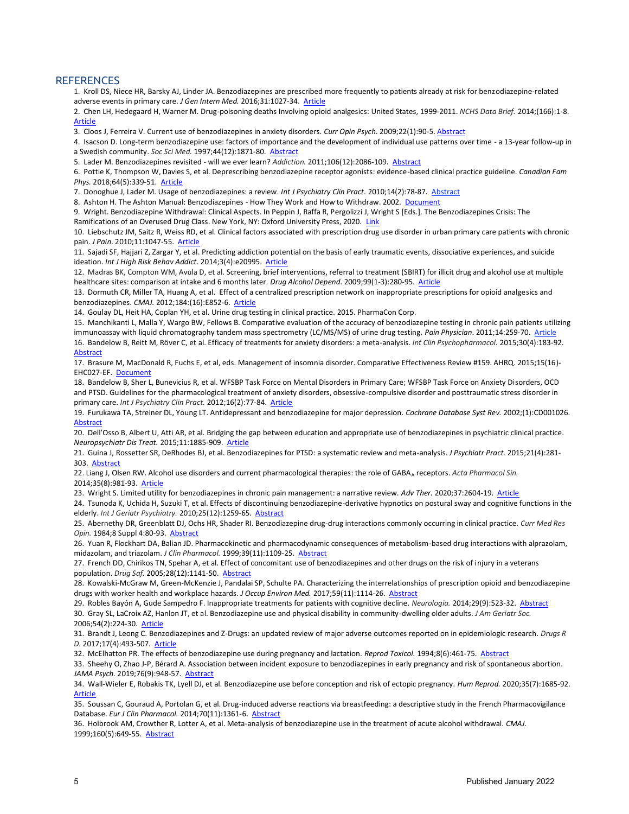## **REFERENCES**

1. Kroll DS, Niece HR, Barsky AJ, Linder JA. Benzodiazepines are prescribed more frequently to patients already at risk for benzodiazepine-related adverse events in primary care. *J Gen Intern Med.* 2016;31:1027-34. [Article](https://link.springer.com/article/10.1007%2Fs11606-016-3740-0#citeas)

2. Chen LH, Hedegaard H, Warner M. Drug-poisoning deaths Involving opioid analgesics: United States, 1999-2011. *NCHS Data Brief.* 2014;(166):1-8[.](https://www.cdc.gov/nchs/data/databriefs/db166.pdf)  [Article](https://www.cdc.gov/nchs/data/databriefs/db166.pdf)

3. Cloos J, Ferreira V. Current use of benzodiazepines in anxiety disorders. *Curr Opin Psych*. 2009;22(1):90-5. [Abstract](http://www.ncbi.nlm.nih.gov/entrez/query.fcgi?cmd=Retrieve&db=PubMed&dopt=Abstract&list_uids=19122540)

4. Isacson D. Long-term benzodiazepine use: factors of importance and the development of individual use patterns over time - a 13-year follow-up in a Swedish community. *Soc Sci Med.* 1997;44(12):1871-80[. Abstract](https://www.ncbi.nlm.nih.gov/pubmed/9194248)

5. Lader M. Benzodiazepines revisited - will we ever learn? *Addiction.* 2011;106(12):2086-109[. Abstract](http://www.ncbi.nlm.nih.gov/pubmed/21714826)

6. Pottie K, Thompson W, Davies S, et al. Deprescribing benzodiazepine receptor agonists: evidence-based clinical practice guideline. *Canadian Fam Phys.* 2018;64(5):339-51. [Article](http://www.cfp.ca/content/64/5/339)

7. Donoghue J, Lader M. Usage of benzodiazepines: a review. *Int J Psychiatry Clin Pract*. 2010;14(2):78-87[. Abstract](http://www.ncbi.nlm.nih.gov/entrez/query.fcgi?cmd=Retrieve&db=PubMed&dopt=Abstract&list_uids=24922466)

8. Ashton H. The Ashton Manual: Benzodiazepines - How They Work and How to Withdraw. 2002[. Document](http://www.benzo.org.uk/manual/)

9. Wright. Benzodiazepine Withdrawal: Clinical Aspects. In Peppin J, Raffa R, Pergolizzi J, Wright S [Eds.]. The Benzodiazepines Crisis: The

Ramifications of an Overused Drug Class. New York, NY: Oxford University Press, 2020[. Link](https://global.oup.com/academic/product/the-benzodiazepines-crisis-9780197517277?q=Benzodiazepine&lang=en&cc=us)

10. Liebschutz JM, Saitz R, Weiss RD, et al. Clinical factors associated with prescription drug use disorder in urban primary care patients with chronic pain. *J Pain*. 2010;11:1047-55[. Article](http://www.ncbi.nlm.nih.gov/pmc/articles/PMC2892730/)

11. Sajadi SF, Hajjari Z, Zargar Y, et al. Predicting addiction potential on the basis of early traumatic events, dissociative experiences, and suicide ideation. *Int J High Risk Behav Addict*. 2014;3(4):e20995[. Article](https://www.ncbi.nlm.nih.gov/pmc/articles/PMC4331658/)

12. Madras BK, Compton WM, Avula D, et al. Screening, brief interventions, referral to treatment (SBIRT) for illicit drug and alcohol use at multiple healthcare sites: comparison at intake and 6 months later. *Drug Alcohol Depend*. 2009;99(1-3):280-95. [Article](https://www.ncbi.nlm.nih.gov/pmc/articles/PMC2760304/)

13. Dormuth CR, Miller TA, Huang A, et al. Effect of a centralized prescription network on inappropriate prescriptions for opioid analgesics and benzodiazepines. *CMAJ.* 2012;184:(16):E852-6[. Article](http://www.ncbi.nlm.nih.gov/pmc/articles/PMC3494359/)

14. Goulay DL, Heit HA, Coplan YH, et al. Urine drug testing in clinical practice. 2015. PharmaCon Corp.

15. Manchikanti L, Malla Y, Wargo BW, Fellows B. Comparative evaluation of the accuracy of benzodiazepine testing in chronic pain patients utilizing immunoassay with liquid chromatography tandem mass spectrometry (LC/MS/MS) of urine drug testing. Pain Physician. 2011;14:259-70[. Article](http://www.painphysicianjournal.com/current/pdf?article=MTQ2NQ==&journal=61) 16. Bandelow B, Reitt M, Röver C, et al. Efficacy of treatments for anxiety disorders: a meta-analysis. *Int Clin Psychopharmacol.* 2015;30(4):183-92[.](https://www.ncbi.nlm.nih.gov/pubmed/25932596)  [Abstract](https://www.ncbi.nlm.nih.gov/pubmed/25932596)

17. Brasure M, MacDonald R, Fuchs E, et al, eds. Management of insomnia disorder. Comparative Effectiveness Review #159. AHRQ. 2015;15(16)- EHC027-EF[. Document](https://www.ncbi.nlm.nih.gov/pubmedhealth/PMH0084673/pdf/PubMedHealth_PMH0084673.pdf)

18. Bandelow B, Sher L, Bunevicius R, et al. WFSBP Task Force on Mental Disorders in Primary Care; WFSBP Task Force on Anxiety Disorders, OCD and PTSD. Guidelines for the pharmacological treatment of anxiety disorders, obsessive-compulsive disorder and posttraumatic stress disorder in primary care. *Int J Psychiatry Clin Pract.* 2012;16(2):77-84[. Article](http://www.wfsbp.org/fileadmin/user_upload/Treatment_Guidelines/Bandelow_et_al_01.pdf)

19. Furukawa TA, Streiner DL, Young LT. Antidepressant and benzodiazepine for major depression. *Cochrane Database Syst Rev.* 2002;(1):CD001026[.](https://www.ncbi.nlm.nih.gov/pubmed/11869584)  [Abstract](https://www.ncbi.nlm.nih.gov/pubmed/11869584)

20. Dell'Osso B, Albert U, Atti AR, et al. Bridging the gap between education and appropriate use of benzodiazepines in psychiatric clinical practice. *Neuropsychiatr Dis Treat.* 2015;11:1885-909[. Article](https://www.ncbi.nlm.nih.gov/pmc/articles/PMC4525786/)

21. Guina J, Rossetter SR, DeRhodes BJ, et al. Benzodiazepines for PTSD: a systematic review and meta-analysis. *J Psychiatr Pract.* 2015;21(4):281- 303[. Abstract](https://insights.ovid.com/pubmed?pmid=26164054)

22. Liang J, Olsen RW. Alcohol use disorders and current pharmacological therapies: the role of GABA<sub>A</sub> receptors. *Acta Pharmacol Sin.* 2014;35(8):981-93[. Article](https://www.ncbi.nlm.nih.gov/pmc/articles/PMC4125717/)

23. Wright S. Limited utility for benzodiazepines in chronic pain management: a narrative review. *Adv Ther.* 2020;37:2604-19[. Article](https://doi.org/10.1007/s12325-020-01354-6)

24. Tsunoda K, Uchida H, Suzuki T, et al. Effects of discontinuing benzodiazepine-derivative hypnotics on postural sway and cognitive functions in the elderly. *Int J Geriatr Psychiatry.* 2010;25(12):1259-65[. Abstract](https://www.ncbi.nlm.nih.gov/pubmed/20054834)

25. Abernethy DR, Greenblatt DJ, Ochs HR, Shader RI. Benzodiazepine drug-drug interactions commonly occurring in clinical practice. *Curr Med Res Opin.* 1984;8 Suppl 4:80-93[. Abstract](https://www.ncbi.nlm.nih.gov/pubmed/6144465)

26. Yuan R, Flockhart DA, Balian JD. Pharmacokinetic and pharmacodynamic consequences of metabolism-based drug interactions with alprazolam, midazolam, and triazolam. *J Clin Pharmacol.* 1999;39(11):1109-25. [Abstract](https://www.ncbi.nlm.nih.gov/pubmed/10579141)

27. French DD, Chirikos TN, Spehar A, et al. Effect of concomitant use of benzodiazepines and other drugs on the risk of injury in a veterans population. *Drug Saf.* 2005;28(12):1141-50[. Abstract](https://www.ncbi.nlm.nih.gov/pubmed/16329716)

28. Kowalski-McGraw M, Green-McKenzie J, Pandalai SP, Schulte PA. Characterizing the interrelationships of prescription opioid and benzodiazepine drugs with worker health and workplace hazards. *J Occup Environ Med.* 2017;59(11):1114-26[. Abstract](https://www.ncbi.nlm.nih.gov/pubmed/28930799)

29. Robles Bayón A, Gude Sampedro F. Inappropriate treatments for patients with cognitive decline. *Neurologia.* 2014;29(9):523-32[. Abstract](https://www.ncbi.nlm.nih.gov/pubmed/23062764) 30. Gray SL, LaCroix AZ, Hanlon JT, et al. Benzodiazepine use and physical disability in community-dwelling older adults. *J Am Geriatr Soc.* 2006;54(2):224-30[. Article](https://www.ncbi.nlm.nih.gov/pmc/articles/PMC2365497/)

31. Brandt J, Leong C. Benzodiazepines and Z-Drugs: an updated review of major adverse outcomes reported on in epidemiologic research. *Drugs R D.* 2017;17(4):493-507. [Article](https://www.ncbi.nlm.nih.gov/pmc/articles/PMC5694420/)

32. McElhatton PR. The effects of benzodiazepine use during pregnancy and lactation. *Reprod Toxicol.* 1994;8(6):461-75[. Abstract](https://www.ncbi.nlm.nih.gov/pubmed/7881198)

33. Sheehy O, Zhao J-P, Bérard A. Association between incident exposure to benzodiazepines in early pregnancy and risk of spontaneous abortion. *JAMA Psych.* 2019;76(9):948-57[. Abstract](https://jamanetwork.com/journals/jamapsychiatry/article-abstract/2733517?&utm_source=BulletinHealthCare&utm_medium=email&utm_term=051619&utm_content=NON-MEMBER&utm_campaign=article_alert-morning_rounds_daily&utm_uid=&utm_effort=)

34. Wall-Wieler E, Robakis TK, Lyell DJ, et al. Benzodiazepine use before conception and risk of ectopic pregnancy. *Hum Reprod.* 2020;35(7):1685-92[.](https://academic.oup.com/humrep/advance-article/doi/10.1093/humrep/deaa082/5841324#supplementary-data%3Cbr%20/%3E) [Article](https://academic.oup.com/humrep/advance-article/doi/10.1093/humrep/deaa082/5841324#supplementary-data%3Cbr%20/%3E)

35. Soussan C, Gouraud A, Portolan G, et al. Drug-induced adverse reactions via breastfeeding: a descriptive study in the French Pharmacovigilance Database. *Eur J Clin Pharmacol.* 2014;70(11):1361-6[. Abstract](https://www.ncbi.nlm.nih.gov/pubmed/25183382)

36. Holbrook AM, Crowther R, Lotter A, et al. Meta-analysis of benzodiazepine use in the treatment of acute alcohol withdrawal. *CMAJ.*  1999;160(5):649-55[. Abstract](https://www.ncbi.nlm.nih.gov/pmc/articles/PMC1230110/)